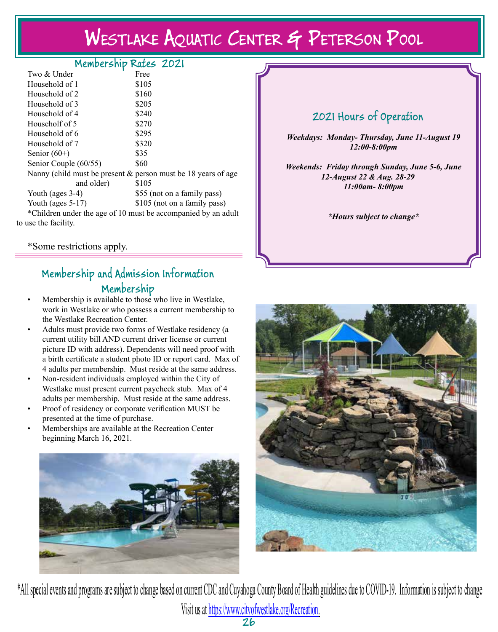# Westlake Aquatic Center & Peterson Pool

### Membership Rates 2021

| Two & Under                                                      | Free                                                                        |  |
|------------------------------------------------------------------|-----------------------------------------------------------------------------|--|
| Household of 1                                                   | \$105                                                                       |  |
| Household of 2                                                   | \$160                                                                       |  |
| Household of 3                                                   | \$205                                                                       |  |
| Household of 4                                                   | \$240                                                                       |  |
| Householf of 5                                                   | \$270                                                                       |  |
| Household of 6                                                   | \$295                                                                       |  |
| Household of 7                                                   | \$320                                                                       |  |
| Senior $(60+)$                                                   | \$35                                                                        |  |
| Senior Couple (60/55)                                            | \$60                                                                        |  |
| Nanny (child must be present $\&$ person must be 18 years of age |                                                                             |  |
| and older)                                                       | \$105                                                                       |  |
| Youth (ages $3-4$ )                                              | \$55 (not on a family pass)                                                 |  |
| Youth (ages $5-17$ )                                             | \$105 (not on a family pass)                                                |  |
|                                                                  | $\star$ Children and on the sesse C 10 mass the second producted by smaller |  |

Children under the age of 10 must be accompanied by an adult to use the facility.

\*Some restrictions apply.

## Membership and Admission Information Membership

- Membership is available to those who live in Westlake, work in Westlake or who possess a current membership to the Westlake Recreation Center.
- Adults must provide two forms of Westlake residency (a current utility bill AND current driver license or current picture ID with address). Dependents will need proof with a birth certificate a student photo ID or report card. Max of 4 adults per membership. Must reside at the same address.
- Non-resident individuals employed within the City of Westlake must present current paycheck stub. Max of 4 adults per membership. Must reside at the same address.
- Proof of residency or corporate verification MUST be presented at the time of purchase.
- Memberships are available at the Recreation Center beginning March 16, 2021.



# 2021 Hours of Operation

*Weekdays: Monday- Thursday, June 11-August 19 12:00-8:00pm*

*Weekends: Friday through Sunday, June 5-6, June 12-August 22 & Aug. 28-29 11:00am- 8:00pm* 

*\*Hours subject to change\**



\*All special events and programs are subject to change based on current CDC and Cuyahoga County Board of Health guidelines due to COVID-19. Information is subject to change. Visit us at https://www.cityofwestlake.org/Recreation.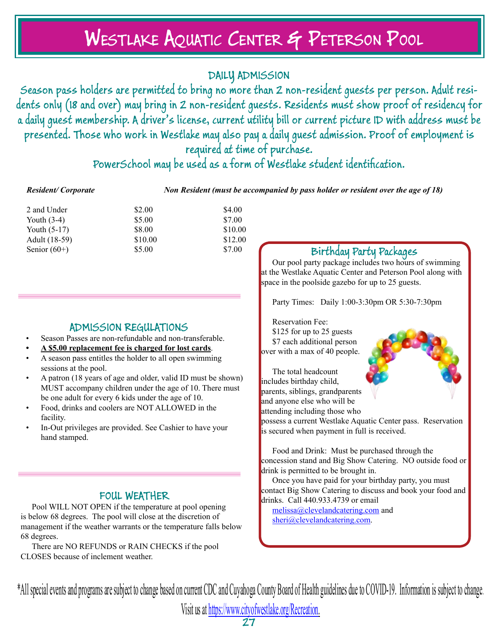# Westlake Aquatic Center & Peterson Pool

## DAILY ADMISSION

Season pass holders are permitted to bring no more than 2 non-resident guests per person. Adult residents only (18 and over) may bring in 2 non-resident guests. Residents must show proof of residency for a daily guest membership. A driver's license, current utility bill or current picture ID with address must be presented. Those who work in Westlake may also pay a daily guest admission. Proof of employment is required at time of purchase.

PowerSchool may be used as a form of Westlake student identification.

*Resident/ Corporate Non Resident (must be accompanied by pass holder or resident over the age of 18)*

| 2 and Under    | \$2.00  | \$4.00  |
|----------------|---------|---------|
| Youth $(3-4)$  | \$5.00  | \$7.00  |
| Youth $(5-17)$ | \$8.00  | \$10.00 |
| Adult (18-59)  | \$10.00 | \$12.00 |
| Senior $(60+)$ | \$5.00  | \$7.00  |
|                |         |         |

### ADMISSION REGULATIONS

- Season Passes are non-refundable and non-transferable.
- **• A \$5.00 replacement fee is charged for lost cards**.
- A season pass entitles the holder to all open swimming sessions at the pool.
- A patron (18 years of age and older, valid ID must be shown) MUST accompany children under the age of 10. There must be one adult for every 6 kids under the age of 10.
- Food, drinks and coolers are NOT ALLOWED in the facility.
- In-Out privileges are provided. See Cashier to have your hand stamped.

### FOUL WEATHER

Pool WILL NOT OPEN if the temperature at pool opening is below 68 degrees. The pool will close at the discretion of management if the weather warrants or the temperature falls below 68 degrees.

There are NO REFUNDS or RAIN CHECKS if the pool CLOSES because of inclement weather.

### Birthday Party Packages

Our pool party package includes two hours of swimming at the Westlake Aquatic Center and Peterson Pool along with space in the poolside gazebo for up to 25 guests.

Party Times: Daily 1:00-3:30pm OR 5:30-7:30pm

Reservation Fee: \$125 for up to 25 guests \$7 each additional person over with a max of 40 people.

The total headcount includes birthday child, parents, siblings, grandparents and anyone else who will be attending including those who



Food and Drink: Must be purchased through the concession stand and Big Show Catering. NO outside food or drink is permitted to be brought in.

Once you have paid for your birthday party, you must contact Big Show Catering to discuss and book your food and drinks. Call 440.933.4739 or email

melissa@clevelandcatering.com and sheri@clevelandcatering.com.

\*All special events and programs are subject to change based on current CDC and Cuyahoga County Board of Health guidelines due to COVID-19. Information is subject to change.

Visit us at https://www.cityofwestlake.org/Recreation.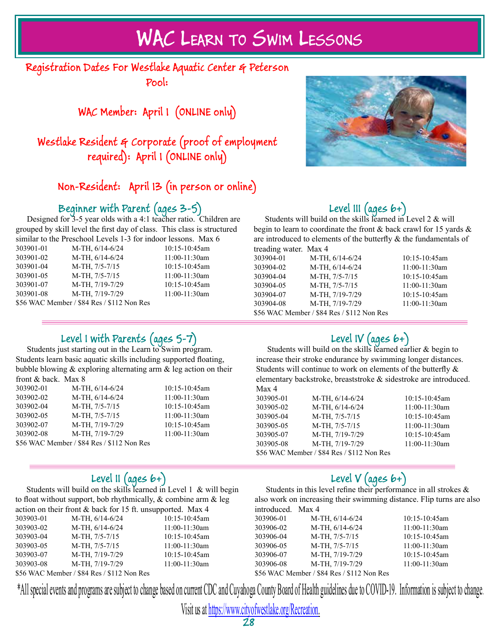# WAC Learn to Swim Lessons

Registration Dates For Westlake Aquatic Center & Peterson Pool:

WAC Member: April 1 (ONLINE only)

Westlake Resident & Corporate (proof of employment required): April 1 (ONLINE only)

# Non-Resident: April 13 (in person or online)

# Beginner with Parent (ages 3-5)

Designed for 3-5 year olds with a 4:1 teacher ratio. Children are grouped by skill level the first day of class. This class is structured similar to the Preschool Levels 1-3 for indoor lessons. Max 6

| 303901-01                                  | $M-TH, 6/14-6/24$ | 10:15-10:45am   |
|--------------------------------------------|-------------------|-----------------|
| 303901-02                                  | M-TH, 6/14-6/24   | 11:00-11:30am   |
| 303901-04                                  | M-TH, 7/5-7/15    | 10:15-10:45am   |
| 303901-05                                  | M-TH, 7/5-7/15    | 11:00-11:30am   |
| 303901-07                                  | M-TH, 7/19-7/29   | $10:15-10:45am$ |
| 303901-08                                  | M-TH, 7/19-7/29   | 11:00-11:30am   |
| \$56 WAC Member / \$84 Res / \$112 Non Res |                   |                 |

# Level III (ages 6+)

Students will build on the skills learned in Level 2 & will begin to learn to coordinate the front & back crawl for 15 yards & are introduced to elements of the butterfly  $\&$  the fundamentals of treading water. Max 4

| $u$ vaunig waivi. <i>waa</i> $\tau$        |                   |                 |
|--------------------------------------------|-------------------|-----------------|
| 303904-01                                  | $M-TH, 6/14-6/24$ | $10:15-10:45am$ |
| 303904-02                                  | M-TH, 6/14-6/24   | 11:00-11:30am   |
| 303904-04                                  | M-TH, 7/5-7/15    | $10:15-10:45am$ |
| 303904-05                                  | M-TH, 7/5-7/15    | 11:00-11:30am   |
| 303904-07                                  | M-TH, 7/19-7/29   | $10:15-10:45am$ |
| 303904-08                                  | M-TH, 7/19-7/29   | 11:00-11:30am   |
| \$56 WAC Member / \$84 Res / \$112 Non Res |                   |                 |
|                                            |                   |                 |

# Level I with Parents (ages 5-7)

10:15-10:45am 11:00-11:30am 10:15-10:45am 11:00-11:30am 10:15-10:45am 11:00-11:30am

Students just starting out in the Learn to Swim program. Students learn basic aquatic skills including supported floating, bubble blowing & exploring alternating arm & leg action on their front & back. Max 8

| 303902-01 | M-TH, $6/14-6/24$                          |
|-----------|--------------------------------------------|
| 303902-02 | M-TH, $6/14-6/24$                          |
| 303902-04 | M-TH, 7/5-7/15                             |
| 303902-05 | M-TH, 7/5-7/15                             |
| 303902-07 | M-TH, 7/19-7/29                            |
| 303902-08 | M-TH, 7/19-7/29                            |
|           | \$56 WAC Member / \$84 Res / \$112 Non Res |

## Level II (ages 6+)

Students will build on the skills learned in Level  $1 \&$  will begin to float without support, bob rhythmically, & combine arm & leg on their front  $\&$  back for 15 ft. unsupported. Max 4

|           | action on their front $\alpha$ back for 15 ft. unsupported. Max 4 |                 |
|-----------|-------------------------------------------------------------------|-----------------|
| 303903-01 | M-TH, 6/14-6/24                                                   | 10:15-10:45am   |
| 303903-02 | M-TH, $6/14-6/24$                                                 | 11:00-11:30am   |
| 303903-04 | M-TH, 7/5-7/15                                                    | $10:15-10:45am$ |
| 303903-05 | M-TH, 7/5-7/15                                                    | 11:00-11:30am   |
| 303903-07 | M-TH, 7/19-7/29                                                   | $10:15-10:45am$ |
| 303903-08 | M-TH, 7/19-7/29                                                   | 11:00-11:30am   |
|           |                                                                   |                 |

\$56 WAC Member / \$84 Res / \$112 Non Res

| 303905-05 | $M-1H$ , $1/5-1/15$                        |
|-----------|--------------------------------------------|
| 303905-07 | M-TH, 7/19-7/29                            |
| 303905-08 | M-TH, 7/19-7/29                            |
|           | \$56 WAC Member / \$84 Res / \$112 Non Res |
|           |                                            |
|           |                                            |

# Level IV (ages 6+)

Students will build on the skills learned earlier & begin to increase their stroke endurance by swimming longer distances. Students will continue to work on elements of the butterfly & elementary backstroke, breaststroke & sidestroke are introduced. Max 4

| 303905-01 | M-TH, $6/14-6/24$                          | $10:15-10:45am$ |
|-----------|--------------------------------------------|-----------------|
| 303905-02 | $M-TH, 6/14-6/24$                          | 11:00-11:30am   |
| 303905-04 | M-TH, 7/5-7/15                             | $10:15-10:45am$ |
| 303905-05 | M-TH, 7/5-7/15                             | $11:00-11:30am$ |
| 303905-07 | M-TH, 7/19-7/29                            | $10:15-10:45am$ |
| 303905-08 | M-TH, 7/19-7/29                            | 11:00-11:30am   |
|           | \$56 WAC Member / \$84 Res / \$112 Non Res |                 |

# Level  $V$  (ages  $b+$ )

Students in this level refine their performance in all strokes & also work on increasing their swimming distance. Flip turns are also introduced. Max 4

| 303906-01                                         | M-TH, $6/14-6/24$ | 10:15-10:45am   |
|---------------------------------------------------|-------------------|-----------------|
| 303906-02                                         | M-TH, 6/14-6/24   | 11:00-11:30am   |
| 303906-04                                         | M-TH, 7/5-7/15    | 10:15-10:45am   |
| 303906-05                                         | M-TH, 7/5-7/15    | 11:00-11:30am   |
| 303906-07                                         | M-TH, 7/19-7/29   | $10:15-10:45am$ |
| 303906-08                                         | M-TH, 7/19-7/29   | 11:00-11:30am   |
| $$56$ WAC Member $/$ $$94$ Des $/$ $$112$ Non Des |                   |                 |

\$56 WAC Member / \$84 Res / \$112 Non Res

\*All special events and programs are subject to change based on current CDC and Cuyahoga County Board of Health guidelines due to COVID-19. Information is subject to change.

Visit us at https://www.cityofwestlake.org/Recreation.